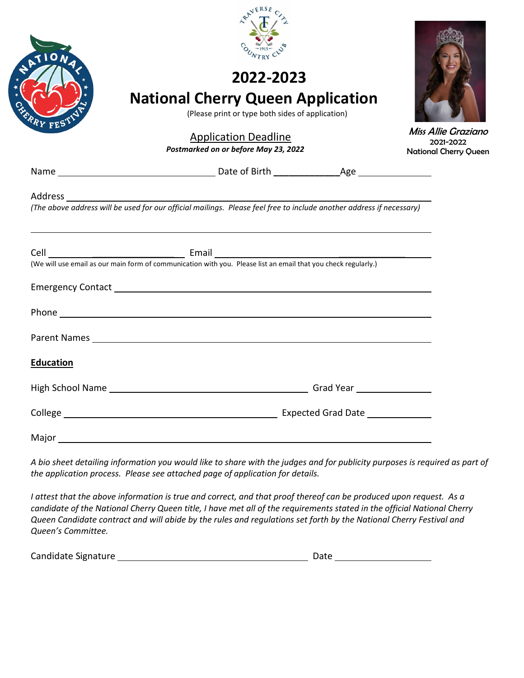

## **2022-2023**

## **National Cherry Queen Application**

(Please print or type both sides of application)

### Application Deadline

 *Postmarked on or before May 23, 2022*

Miss Allie Graziano 2021-2022 National Cherry Queen

| J | PU 1 | am |  |
|---|------|----|--|
|   |      |    |  |

**Name Date of Birth** *Date of Birth* **Age** 

#### Address

l

*(The above address will be used for our official mailings. Please feel free to include another address if necessary)*

|                  | (We will use email as our main form of communication with you. Please list an email that you check regularly.) |
|------------------|----------------------------------------------------------------------------------------------------------------|
|                  |                                                                                                                |
|                  |                                                                                                                |
|                  |                                                                                                                |
| <b>Education</b> |                                                                                                                |
|                  |                                                                                                                |
|                  |                                                                                                                |
|                  |                                                                                                                |

*A bio sheet detailing information you would like to share with the judges and for publicity purposes is required as part of the application process. Please see attached page of application for details.*

*I attest that the above information is true and correct, and that proof thereof can be produced upon request. As a candidate of the National Cherry Queen title, I have met all of the requirements stated in the official National Cherry Queen Candidate contract and will abide by the rules and regulations set forth by the National Cherry Festival and Queen's Committee.*

Candidate Signature 2008 2009 2010 2020 2020 2031 2040 2040 2050 2061 2071 2080 2091 2010 2021 2030 2040 2051 2052 2053 2054 2055 2056 2057 2058 2059 2059 2059 2051 2052 2053 2059 2051 2052 2053 2054 2055 2056 2057 2058 20

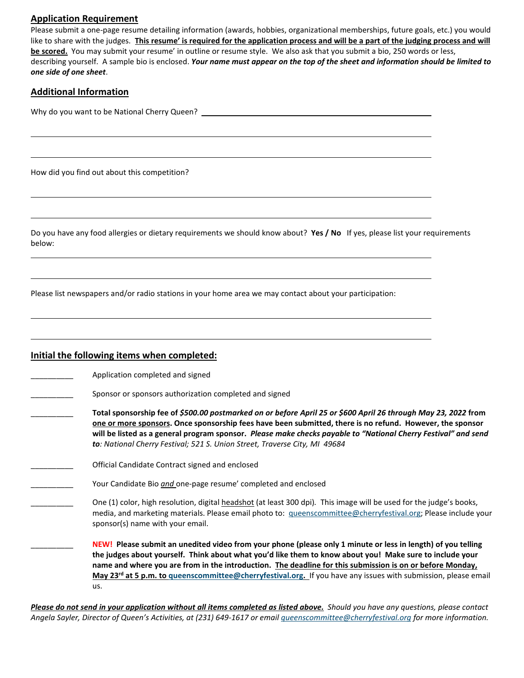#### **Application Requirement**

Please submit a one-page resume detailing information (awards, hobbies, organizational memberships, future goals, etc.) you would like to share with the judges. **This resume' is required for the application process and will be a part of the judging process and will be scored.** You may submit your resume' in outline or resume style. We also ask that you submit a bio, 250 words or less, describing yourself. A sample bio is enclosed. *Your name must appear on the top of the sheet and information should be limited to one side of one sheet*.

#### **Additional Information**

l

l

l

Why do you want to be National Cherry Queen?

How did you find out about this competition?

Do you have any food allergies or dietary requirements we should know about? **Yes / No** If yes, please list your requirements below:

Please list newspapers and/or radio stations in your home area we may contact about your participation:

#### **Initial the following items when completed:**

Application completed and signed

- Sponsor or sponsors authorization completed and signed
- \_\_\_\_\_\_\_\_\_\_ **Total sponsorship fee of** *\$500.00 postmarked on or before April 25 or \$600 April 26 through May 23, 2022* **from one or more sponsors. Once sponsorship fees have been submitted, there is no refund. However, the sponsor will be listed as a general program sponsor.** *Please make checks payable to "National Cherry Festival" and send to: National Cherry Festival; 521 S. Union Street, Traverse City, MI 49684*
- \_\_\_\_\_\_\_\_\_\_ Official Candidate Contract signed and enclosed
	- Your Candidate Bio *and* one-page resume' completed and enclosed
- \_\_\_\_\_\_\_\_\_\_ One (1) color, high resolution, digital headshot (at least 300 dpi)*.* This image will be used for the judge's books, media, and marketing materials. Please email photo to: [queenscommittee@cherryfestival.org;](mailto:queenscommittee@cherryfestival.org) Please include your sponsor(s) name with your email.

\_\_\_\_\_\_\_\_\_\_ **NEW! Please submit an unedited video from your phone (please only 1 minute or less in length) of you telling the judges about yourself. Think about what you'd like them to know about you! Make sure to include your name and where you are from in the introduction. The deadline for this submission is on or before Monday, May 23rd at 5 p.m. to [queenscommittee@cherryfestival.org.](mailto:queenscommittee@cherryfestival.org)** If you have any issues with submission, please email us.

**Please do not send in your application without all items completed as listed above.** Should you have any questions, please contact *Angela Sayler, Director of Queen's Activities, at (231) 649-1617 or emai[l queenscommittee@cherryfestival.org](mailto:queenscommittee@cherryfestival.org) for more information.*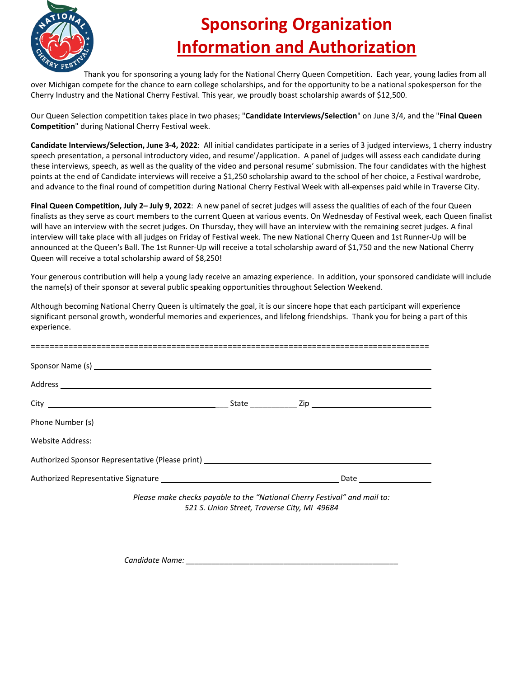

# **Sponsoring Organization Information and Authorization**

Thank you for sponsoring a young lady for the National Cherry Queen Competition. Each year, young ladies from all over Michigan compete for the chance to earn college scholarships, and for the opportunity to be a national spokesperson for the Cherry Industry and the National Cherry Festival. This year, we proudly boast scholarship awards of \$12,500.

Our Queen Selection competition takes place in two phases; "**Candidate Interviews/Selection**" on June 3/4, and the "**Final Queen Competition**" during National Cherry Festival week.

**Candidate Interviews/Selection, June 3-4, 2022**: All initial candidates participate in a series of 3 judged interviews, 1 cherry industry speech presentation, a personal introductory video, and resume'/application. A panel of judges will assess each candidate during these interviews, speech, as well as the quality of the video and personal resume' submission. The four candidates with the highest points at the end of Candidate interviews will receive a \$1,250 scholarship award to the school of her choice, a Festival wardrobe, and advance to the final round of competition during National Cherry Festival Week with all-expenses paid while in Traverse City.

**Final Queen Competition, July 2– July 9, 2022**: A new panel of secret judges will assess the qualities of each of the four Queen finalists as they serve as court members to the current Queen at various events. On Wednesday of Festival week, each Queen finalist will have an interview with the secret judges. On Thursday, they will have an interview with the remaining secret judges. A final interview will take place with all judges on Friday of Festival week. The new National Cherry Queen and 1st Runner-Up will be announced at the Queen's Ball. The 1st Runner-Up will receive a total scholarship award of \$1,750 and the new National Cherry Queen will receive a total scholarship award of \$8,250!

Your generous contribution will help a young lady receive an amazing experience. In addition, your sponsored candidate will include the name(s) of their sponsor at several public speaking opportunities throughout Selection Weekend.

Although becoming National Cherry Queen is ultimately the goal, it is our sincere hope that each participant will experience significant personal growth, wonderful memories and experiences, and lifelong friendships. Thank you for being a part of this experience.

| Website Address: <u>New York: Website Address:</u> New York: New York: New York: New York: New York: New York: New York: New York: New York: New York: New York: New York: New York: New York: New York: New York: New York: New Yo |  |  |
|-------------------------------------------------------------------------------------------------------------------------------------------------------------------------------------------------------------------------------------|--|--|
|                                                                                                                                                                                                                                     |  |  |
|                                                                                                                                                                                                                                     |  |  |

*Please make checks payable to the "National Cherry Festival" and mail to: 521 S. Union Street, Traverse City, MI 49684* 

*Candidate Name: \_\_\_\_\_\_\_\_\_\_\_\_\_\_\_\_\_\_\_\_\_\_\_\_\_\_\_\_\_\_\_\_\_\_\_\_\_\_\_\_\_\_\_\_\_\_\_\_\_\_*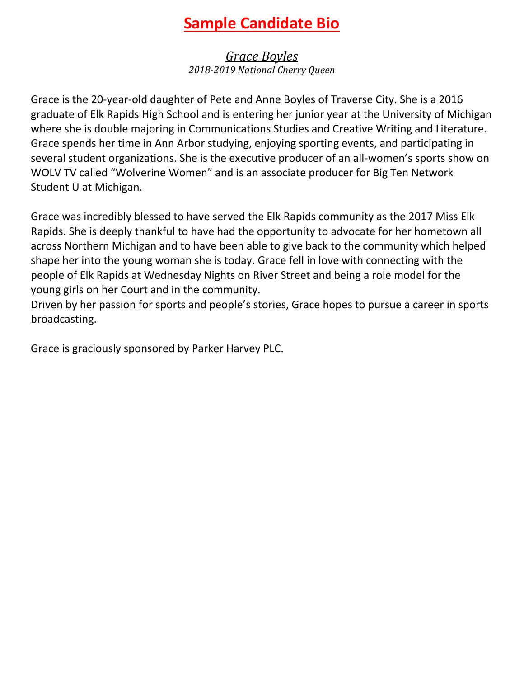## **Sample Candidate Bio**

*Grace Boyles 2018-2019 National Cherry Queen*

Grace is the 20-year-old daughter of Pete and Anne Boyles of Traverse City. She is a 2016 graduate of Elk Rapids High School and is entering her junior year at the University of Michigan where she is double majoring in Communications Studies and Creative Writing and Literature. Grace spends her time in Ann Arbor studying, enjoying sporting events, and participating in several student organizations. She is the executive producer of an all-women's sports show on WOLV TV called "Wolverine Women" and is an associate producer for Big Ten Network Student U at Michigan.

Grace was incredibly blessed to have served the Elk Rapids community as the 2017 Miss Elk Rapids. She is deeply thankful to have had the opportunity to advocate for her hometown all across Northern Michigan and to have been able to give back to the community which helped shape her into the young woman she is today. Grace fell in love with connecting with the people of Elk Rapids at Wednesday Nights on River Street and being a role model for the young girls on her Court and in the community.

Driven by her passion for sports and people's stories, Grace hopes to pursue a career in sports broadcasting.

Grace is graciously sponsored by Parker Harvey PLC.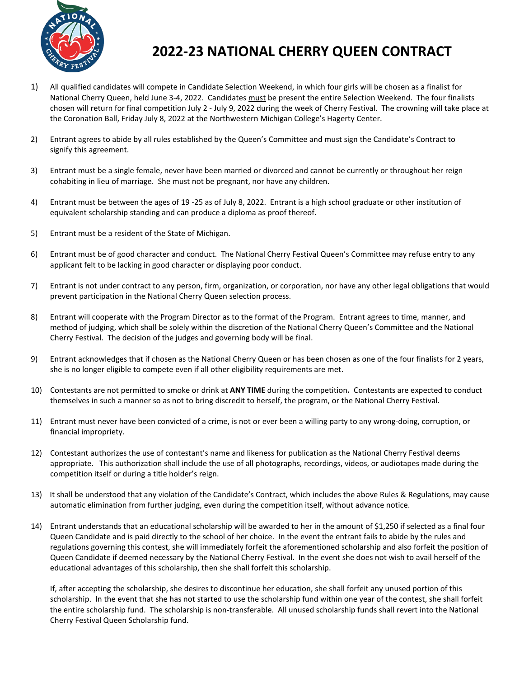

### **2022-23 NATIONAL CHERRY QUEEN CONTRACT**

- 1) All qualified candidates will compete in Candidate Selection Weekend, in which four girls will be chosen as a finalist for National Cherry Queen, held June 3-4, 2022. Candidates must be present the entire Selection Weekend. The four finalists chosen will return for final competition July 2 - July 9, 2022 during the week of Cherry Festival. The crowning will take place at the Coronation Ball, Friday July 8, 2022 at the Northwestern Michigan College's Hagerty Center.
- 2) Entrant agrees to abide by all rules established by the Queen's Committee and must sign the Candidate's Contract to signify this agreement.
- 3) Entrant must be a single female, never have been married or divorced and cannot be currently or throughout her reign cohabiting in lieu of marriage. She must not be pregnant, nor have any children.
- 4) Entrant must be between the ages of 19 -25 as of July 8, 2022. Entrant is a high school graduate or other institution of equivalent scholarship standing and can produce a diploma as proof thereof.
- 5) Entrant must be a resident of the State of Michigan.
- 6) Entrant must be of good character and conduct. The National Cherry Festival Queen's Committee may refuse entry to any applicant felt to be lacking in good character or displaying poor conduct.
- 7) Entrant is not under contract to any person, firm, organization, or corporation, nor have any other legal obligations that would prevent participation in the National Cherry Queen selection process.
- 8) Entrant will cooperate with the Program Director as to the format of the Program. Entrant agrees to time, manner, and method of judging, which shall be solely within the discretion of the National Cherry Queen's Committee and the National Cherry Festival. The decision of the judges and governing body will be final.
- 9) Entrant acknowledges that if chosen as the National Cherry Queen or has been chosen as one of the four finalists for 2 years, she is no longer eligible to compete even if all other eligibility requirements are met.
- 10) Contestants are not permitted to smoke or drink at **ANY TIME** during the competition**.** Contestants are expected to conduct themselves in such a manner so as not to bring discredit to herself, the program, or the National Cherry Festival.
- 11) Entrant must never have been convicted of a crime, is not or ever been a willing party to any wrong-doing, corruption, or financial impropriety.
- 12) Contestant authorizes the use of contestant's name and likeness for publication as the National Cherry Festival deems appropriate. This authorization shall include the use of all photographs, recordings, videos, or audiotapes made during the competition itself or during a title holder's reign.
- 13) It shall be understood that any violation of the Candidate's Contract, which includes the above Rules & Regulations, may cause automatic elimination from further judging, even during the competition itself, without advance notice.
- 14) Entrant understands that an educational scholarship will be awarded to her in the amount of \$1,250 if selected as a final four Queen Candidate and is paid directly to the school of her choice. In the event the entrant fails to abide by the rules and regulations governing this contest, she will immediately forfeit the aforementioned scholarship and also forfeit the position of Queen Candidate if deemed necessary by the National Cherry Festival. In the event she does not wish to avail herself of the educational advantages of this scholarship, then she shall forfeit this scholarship.

If, after accepting the scholarship, she desires to discontinue her education, she shall forfeit any unused portion of this scholarship. In the event that she has not started to use the scholarship fund within one year of the contest, she shall forfeit the entire scholarship fund. The scholarship is non-transferable. All unused scholarship funds shall revert into the National Cherry Festival Queen Scholarship fund.